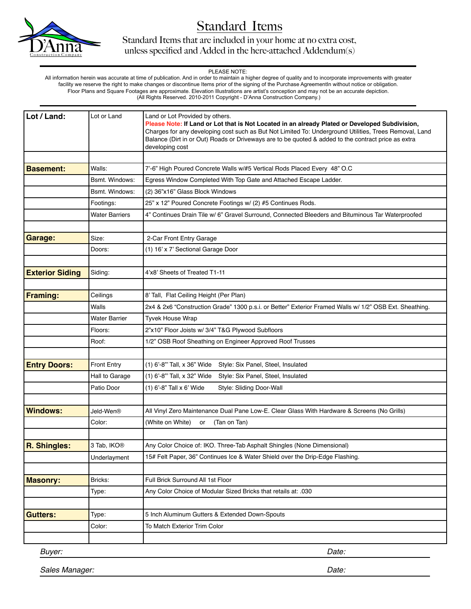

Standard Items that are included in your home at no extra cost, unless specified and Added in the here-attached Addendum(s)

### PLEASE NOTE:

 All information herein was accurate at time of publication. And in order to maintain a higher degree of quality and to incorporate improvements with greater facility we reserve the right to make changes or discontinue Items prior of the signing of the Purchase AgreementIn without notice or obligation. Floor Plans and Square Footages are approximate. Elevation Illustrations are artist's conception and may not be an accurate depiction. (All Rights Reserved. 2010-2011 Copyright - D'Anna Construction Company.)

| Lot / Land:            | Lot or Land             | Land or Lot Provided by others.<br>Please Note: If Land or Lot that is Not Located in an already Plated or Developed Subdivision,<br>Charges for any developing cost such as But Not Limited To: Underground Utilities, Trees Removal, Land<br>Balance (Dirt in or Out) Roads or Driveways are to be quoted & added to the contract price as extra<br>developing cost |  |
|------------------------|-------------------------|-----------------------------------------------------------------------------------------------------------------------------------------------------------------------------------------------------------------------------------------------------------------------------------------------------------------------------------------------------------------------|--|
|                        |                         |                                                                                                                                                                                                                                                                                                                                                                       |  |
| <b>Basement:</b>       | Walls:                  | 7'-6" High Poured Concrete Walls w/#5 Vertical Rods Placed Every 48" O.C                                                                                                                                                                                                                                                                                              |  |
|                        | Bsmt. Windows:          | Egress Window Completed With Top Gate and Attached Escape Ladder.                                                                                                                                                                                                                                                                                                     |  |
|                        | Bsmt. Windows:          | (2) 36"x16" Glass Block Windows                                                                                                                                                                                                                                                                                                                                       |  |
|                        | Footings:               | 25" x 12" Poured Concrete Footings w/ (2) #5 Continues Rods.                                                                                                                                                                                                                                                                                                          |  |
|                        | <b>Water Barriers</b>   | 4" Continues Drain Tile w/ 6" Gravel Surround, Connected Bleeders and Bituminous Tar Waterproofed                                                                                                                                                                                                                                                                     |  |
| Garage:                | Size:                   |                                                                                                                                                                                                                                                                                                                                                                       |  |
|                        | Doors:                  | 2-Car Front Entry Garage<br>(1) 16' x 7' Sectional Garage Door                                                                                                                                                                                                                                                                                                        |  |
|                        |                         |                                                                                                                                                                                                                                                                                                                                                                       |  |
| <b>Exterior Siding</b> | Siding:                 | 4'x8' Sheets of Treated T1-11                                                                                                                                                                                                                                                                                                                                         |  |
|                        |                         |                                                                                                                                                                                                                                                                                                                                                                       |  |
| <b>Framing:</b>        | Ceilings                | 8' Tall, Flat Ceiling Height (Per Plan)                                                                                                                                                                                                                                                                                                                               |  |
|                        | Walls                   | 2x4 & 2x6 "Construction Grade" 1300 p.s.i. or Better" Exterior Framed Walls w/ 1/2" OSB Ext. Sheathing.                                                                                                                                                                                                                                                               |  |
|                        | <b>Water Barrier</b>    | <b>Tyvek House Wrap</b>                                                                                                                                                                                                                                                                                                                                               |  |
|                        | Floors:                 | 2"x10" Floor Joists w/ 3/4" T&G Plywood Subfloors                                                                                                                                                                                                                                                                                                                     |  |
|                        | Roof:                   | 1/2" OSB Roof Sheathing on Engineer Approved Roof Trusses                                                                                                                                                                                                                                                                                                             |  |
|                        |                         |                                                                                                                                                                                                                                                                                                                                                                       |  |
| <b>Entry Doors:</b>    | <b>Front Entry</b>      | (1) 6'-8" Tall, x 36" Wide Style: Six Panel, Steel, Insulated                                                                                                                                                                                                                                                                                                         |  |
|                        | Hall to Garage          | (1) 6'-8" Tall, x 32" Wide<br>Style: Six Panel, Steel, Insulated                                                                                                                                                                                                                                                                                                      |  |
|                        | Patio Door              | (1) 6'-8" Tall x 6' Wide<br>Style: Sliding Door-Wall                                                                                                                                                                                                                                                                                                                  |  |
|                        |                         |                                                                                                                                                                                                                                                                                                                                                                       |  |
| <b>Windows:</b>        | Jeld-Wen®               | All Vinyl Zero Maintenance Dual Pane Low-E. Clear Glass With Hardware & Screens (No Grills)                                                                                                                                                                                                                                                                           |  |
|                        | Color:                  | (White on White)<br>(Tan on Tan)<br>or                                                                                                                                                                                                                                                                                                                                |  |
|                        |                         |                                                                                                                                                                                                                                                                                                                                                                       |  |
| R. Shingles:           | 3 Tab, IKO <sup>®</sup> | Any Color Choice of: IKO. Three-Tab Asphalt Shingles (None Dimensional)                                                                                                                                                                                                                                                                                               |  |
|                        | Underlayment            | 15# Felt Paper, 36" Continues Ice & Water Shield over the Drip-Edge Flashing.                                                                                                                                                                                                                                                                                         |  |
| <b>Masonry:</b>        | Bricks:                 | Full Brick Surround All 1st Floor                                                                                                                                                                                                                                                                                                                                     |  |
|                        | Type:                   | Any Color Choice of Modular Sized Bricks that retails at: .030                                                                                                                                                                                                                                                                                                        |  |
|                        |                         |                                                                                                                                                                                                                                                                                                                                                                       |  |
| <b>Gutters:</b>        | Type:                   | 5 Inch Aluminum Gutters & Extended Down-Spouts                                                                                                                                                                                                                                                                                                                        |  |
|                        | Color:                  | To Match Exterior Trim Color                                                                                                                                                                                                                                                                                                                                          |  |
|                        |                         |                                                                                                                                                                                                                                                                                                                                                                       |  |
| Buyer:                 |                         | Date:                                                                                                                                                                                                                                                                                                                                                                 |  |

*Sales Manager:*

*Date:*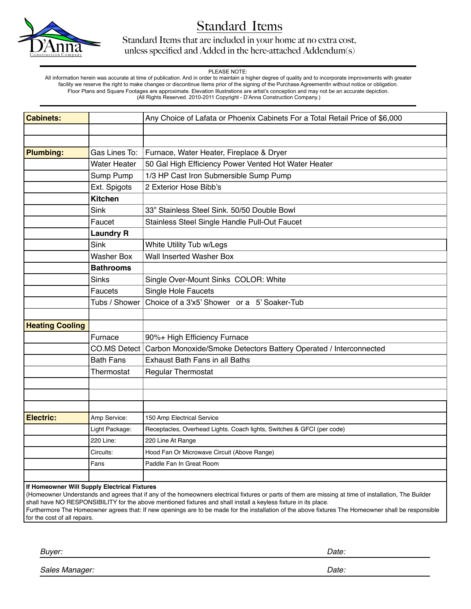

Standard Items that are included in your home at no extra cost, unless specified and Added in the here-attached Addendum(s)

#### PLEASE NOTE:

 All information herein was accurate at time of publication. And in order to maintain a higher degree of quality and to incorporate improvements with greater facility we reserve the right to make changes or discontinue Items prior of the signing of the Purchase AgreementIn without notice or obligation. Floor Plans and Square Footages are approximate. Elevation Illustrations are artist's conception and may not be an accurate depiction. (All Rights Reserved. 2010-2011 Copyright - D'Anna Construction Company.)

| Cabinets:                                    |                     | Any Choice of Lafata or Phoenix Cabinets For a Total Retail Price of \$6,000 |  |
|----------------------------------------------|---------------------|------------------------------------------------------------------------------|--|
|                                              |                     |                                                                              |  |
|                                              |                     |                                                                              |  |
| <b>Plumbing:</b>                             | Gas Lines To:       | Furnace, Water Heater, Fireplace & Dryer                                     |  |
|                                              | <b>Water Heater</b> | 50 Gal High Efficiency Power Vented Hot Water Heater                         |  |
|                                              |                     |                                                                              |  |
|                                              | Sump Pump           | 1/3 HP Cast Iron Submersible Sump Pump                                       |  |
|                                              | Ext. Spigots        | 2 Exterior Hose Bibb's                                                       |  |
|                                              | <b>Kitchen</b>      |                                                                              |  |
|                                              | Sink                | 33" Stainless Steel Sink. 50/50 Double Bowl                                  |  |
|                                              | Faucet              | Stainless Steel Single Handle Pull-Out Faucet                                |  |
|                                              | <b>Laundry R</b>    |                                                                              |  |
|                                              | <b>Sink</b>         | White Utility Tub w/Legs                                                     |  |
|                                              | <b>Washer Box</b>   | Wall Inserted Washer Box                                                     |  |
|                                              | <b>Bathrooms</b>    |                                                                              |  |
|                                              | <b>Sinks</b>        | Single Over-Mount Sinks COLOR: White                                         |  |
|                                              | <b>Faucets</b>      | Single Hole Faucets                                                          |  |
|                                              | Tubs / Shower       | Choice of a 3'x5' Shower or a 5' Soaker-Tub                                  |  |
|                                              |                     |                                                                              |  |
| <b>Heating Cooling</b>                       |                     |                                                                              |  |
|                                              | Furnace             | 90%+ High Efficiency Furnace                                                 |  |
|                                              | CO.MS Detect        | Carbon Monoxide/Smoke Detectors Battery Operated / Interconnected            |  |
|                                              | <b>Bath Fans</b>    | Exhaust Bath Fans in all Baths                                               |  |
|                                              | Thermostat          | Regular Thermostat                                                           |  |
|                                              |                     |                                                                              |  |
|                                              |                     |                                                                              |  |
|                                              |                     |                                                                              |  |
| <b>Electric:</b>                             | Amp Service:        | 150 Amp Electrical Service                                                   |  |
|                                              | Light Package:      | Receptacles, Overhead Lights. Coach lights, Switches & GFCI (per code)       |  |
|                                              | 220 Line:           | 220 Line At Range                                                            |  |
|                                              | Circuits:           | Hood Fan Or Microwave Circuit (Above Range)                                  |  |
|                                              | Fans                | Paddle Fan In Great Room                                                     |  |
|                                              |                     |                                                                              |  |
| If Homeowner Will Supply Electrical Fixtures |                     |                                                                              |  |

(Homeowner Understands and agrees that if any of the homeowners electrical fixtures or parts of them are missing at time of installation, The Builder shall have NO RESPONSIBILITY for the above mentioned fixtures and shall install a keyless fixture in its place. Furthermore The Homeowner agrees that: If new openings are to be made for the installation of the above fixtures The Homeowner shall be responsible for the cost of all repairs.

*Buyer: Date:*

*Sales Manager:*

*Date:*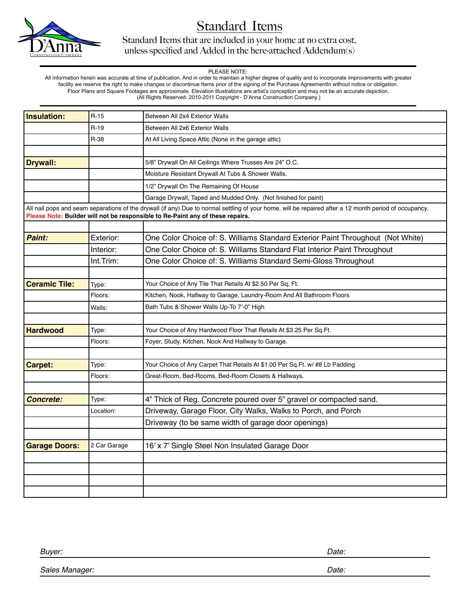

Standard Items that are included in your home at no extra cost, unless specified and Added in the here-attached Addendum(s)

### PLEASE NOTE:

 All information herein was accurate at time of publication. And in order to maintain a higher degree of quality and to incorporate improvements with greater facility we reserve the right to make changes or discontinue Items prior of the signing of the Purchase AgreementIn without notice or obligation. Floor Plans and Square Footages are approximate. Elevation Illustrations are artist's conception and may not be an accurate depiction. (All Rights Reserved. 2010-2011 Copyright - D'Anna Construction Company.)

| Insulation:          | $R-15$       | Between All 2x4 Exterior Walls                                                                                                                                                                                                           |  |
|----------------------|--------------|------------------------------------------------------------------------------------------------------------------------------------------------------------------------------------------------------------------------------------------|--|
|                      | $R-19$       | Between All 2x6 Exterior Walls                                                                                                                                                                                                           |  |
|                      | R-38         | At All Living Space Attic (None in the garage attic)                                                                                                                                                                                     |  |
|                      |              |                                                                                                                                                                                                                                          |  |
| <b>Drywall:</b>      |              | 5/8" Drywall On All Ceilings Where Trusses Are 24" O.C.                                                                                                                                                                                  |  |
|                      |              | Moisture Resistant Drywall At Tubs & Shower Walls.                                                                                                                                                                                       |  |
|                      |              | 1/2" Drywall On The Remaining Of House                                                                                                                                                                                                   |  |
|                      |              | Garage Drywall, Taped and Mudded Only. (Not finished for paint)                                                                                                                                                                          |  |
|                      |              | All nail pops and seam separations of the drywall (if any) Due to normal settling of your home, will be repaired after a 12 month period of occupancy.<br>Please Note: Builder will not be responsible to Re-Paint any of these repairs. |  |
|                      |              |                                                                                                                                                                                                                                          |  |
| Paint:               | Exterior:    | One Color Choice of: S. Williams Standard Exterior Paint Throughout (Not White)                                                                                                                                                          |  |
|                      | Interior:    | One Color Choice of: S. Williams Standard Flat Interior Paint Throughout                                                                                                                                                                 |  |
|                      | Int.Trim:    | One Color Choice of: S. Williams Standard Semi-Gloss Throughout                                                                                                                                                                          |  |
|                      |              |                                                                                                                                                                                                                                          |  |
| <b>Ceramic Tile:</b> | Type:        | Your Choice of Any Tile That Retails At \$2.50 Per Sq, Ft.                                                                                                                                                                               |  |
|                      | Floors:      | Kitchen, Nook, Hallway to Garage, Laundry-Room And All Bathroom Floors                                                                                                                                                                   |  |
|                      | Walls:       | Bath Tubs & Shower Walls Up-To 7'-0" High                                                                                                                                                                                                |  |
|                      |              |                                                                                                                                                                                                                                          |  |
| <b>Hardwood</b>      | Type:        | Your Choice of Any Hardwood Floor That Retails At \$3.25 Per Sq.Ft.                                                                                                                                                                      |  |
|                      | Floors:      | Foyer, Study, Kitchen, Nook And Hallway to Garage.                                                                                                                                                                                       |  |
|                      |              |                                                                                                                                                                                                                                          |  |
| Carpet:              | Type:        | Your Choice of Any Carpet That Retails At \$1.00 Per Sq. Ft. w/ #8 Lb Padding                                                                                                                                                            |  |
|                      | Floors:      | Great-Room, Bed-Rooms, Bed-Room Closets & Hallways.                                                                                                                                                                                      |  |
|                      |              |                                                                                                                                                                                                                                          |  |
| <b>Concrete:</b>     | Type:        | 4" Thick of Reg. Concrete poured over 5" gravel or compacted sand.                                                                                                                                                                       |  |
|                      | Location:    | Driveway, Garage Floor, City Walks, Walks to Porch, and Porch                                                                                                                                                                            |  |
|                      |              | Driveway (to be same width of garage door openings)                                                                                                                                                                                      |  |
|                      |              |                                                                                                                                                                                                                                          |  |
| <b>Garage Doors:</b> | 2 Car Garage | 16' x 7' Single Steel Non Insulated Garage Door                                                                                                                                                                                          |  |
|                      |              |                                                                                                                                                                                                                                          |  |
|                      |              |                                                                                                                                                                                                                                          |  |
|                      |              |                                                                                                                                                                                                                                          |  |
|                      |              |                                                                                                                                                                                                                                          |  |

| Buyer:         | Date: |
|----------------|-------|
| Sales Manager: | Date: |
|                |       |